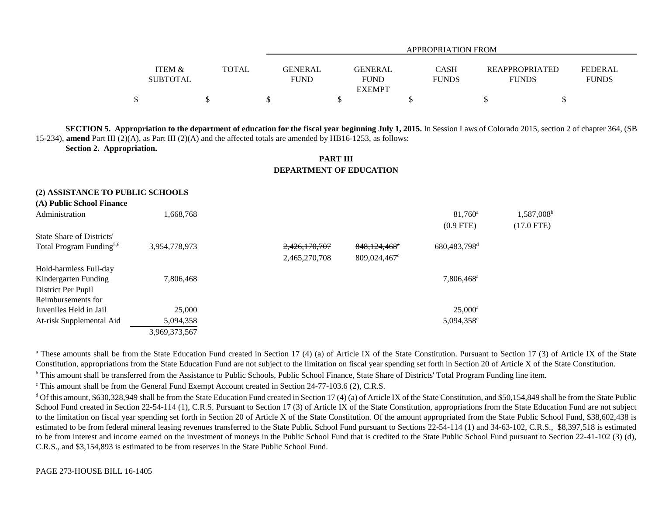|                                      |       |                               | APPROPRIATION FROM            |                             |                                       |                                |  |  |
|--------------------------------------|-------|-------------------------------|-------------------------------|-----------------------------|---------------------------------------|--------------------------------|--|--|
| <b>ITEM &amp;</b><br><b>SUBTOTAL</b> | TOTAL | <b>GENERAL</b><br><b>FUND</b> | <b>GENERAL</b><br><b>FUND</b> | <b>CASH</b><br><b>FUNDS</b> | <b>REAPPROPRIATED</b><br><b>FUNDS</b> | <b>FEDERAL</b><br><b>FUNDS</b> |  |  |
| ¢<br>Φ                               |       |                               | <b>EXEMPT</b>                 |                             |                                       |                                |  |  |

**SECTION 5.** Appropriation to the department of education for the fiscal year beginning July 1, 2015. In Session Laws of Colorado 2015, section 2 of chapter 364, (SB) 15-234), **amend** Part III (2)(A), as Part III (2)(A) and the affected totals are amended by HB16-1253, as follows:

**Section 2. Appropriation.**

## **PART IIIDEPARTMENT OF EDUCATION**

## **(2) ASSISTANCE TO PUBLIC SCHOOLS**

**(A) Public School Finance**

| (A) I ADIIC SCHOOL FINANCE           |               |               |                          |                          |                        |
|--------------------------------------|---------------|---------------|--------------------------|--------------------------|------------------------|
| Administration                       | 1.668.768     |               |                          | $81,760^{\circ}$         | 1,587,008 <sup>b</sup> |
|                                      |               |               |                          | $(0.9$ FTE)              | $(17.0$ FTE)           |
| State Share of Districts'            |               |               |                          |                          |                        |
| Total Program Funding <sup>5,6</sup> | 3,954,778,973 | 2,426,170,707 | 848,124,468 <sup>e</sup> | 680,483,798 <sup>d</sup> |                        |
|                                      |               | 2,465,270,708 | $809,024,467^{\circ}$    |                          |                        |
| Hold-harmless Full-day               |               |               |                          |                          |                        |
| Kindergarten Funding                 | 7,806,468     |               |                          | 7,806,468 <sup>a</sup>   |                        |
| District Per Pupil                   |               |               |                          |                          |                        |
| Reimbursements for                   |               |               |                          |                          |                        |
| Juveniles Held in Jail               | 25,000        |               |                          | $25,000^{\rm a}$         |                        |
| At-risk Supplemental Aid             | 5,094,358     |               |                          | 5,094,358 <sup>e</sup>   |                        |
|                                      | 3,969,373,567 |               |                          |                          |                        |
|                                      |               |               |                          |                          |                        |

<sup>a</sup> These amounts shall be from the State Education Fund created in Section 17 (4) (a) of Article IX of the State Constitution. Pursuant to Section 17 (3) of Article IX of the State Constitution, appropriations from the State Education Fund are not subject to the limitation on fiscal year spending set forth in Section 20 of Article X of the State Constitution.

<sup>b</sup> This amount shall be transferred from the Assistance to Public Schools, Public School Finance, State Share of Districts' Total Program Funding line item.

<sup>c</sup> This amount shall be from the General Fund Exempt Account created in Section 24-77-103.6 (2), C.R.S.

<sup>d</sup> Of this amount, \$630,328,949 shall be from the State Education Fund created in Section 17 (4) (a) of Article IX of the State Constitution, and \$50,154,849 shall be from the State Public School Fund created in Section 22-54-114 (1), C.R.S. Pursuant to Section 17 (3) of Article IX of the State Constitution, appropriations from the State Education Fund are not subject to the limitation on fiscal year spending set forth in Section 20 of Article X of the State Constitution. Of the amount appropriated from the State Public School Fund, \$38,602,438 is estimated to be from federal mineral leasing revenues transferred to the State Public School Fund pursuant to Sections 22-54-114 (1) and 34-63-102, C.R.S., \$8,397,518 is estimated to be from interest and income earned on the investment of moneys in the Public School Fund that is credited to the State Public School Fund pursuant to Section 22-41-102 (3) (d), C.R.S., and \$3,154,893 is estimated to be from reserves in the State Public School Fund.